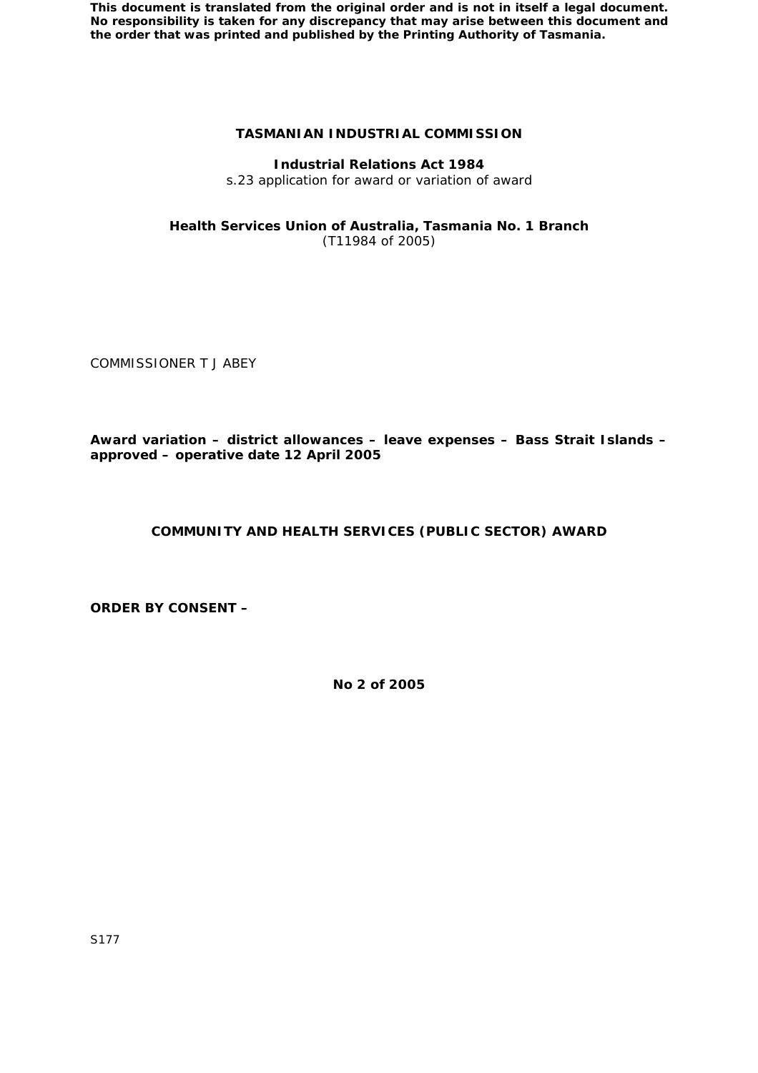# **TASMANIAN INDUSTRIAL COMMISSION**

### **Industrial Relations Act 1984**

s.23 application for award or variation of award

## **Health Services Union of Australia, Tasmania No. 1 Branch**  (T11984 of 2005)

COMMISSIONER T J ABEY

**Award variation – district allowances – leave expenses – Bass Strait Islands – approved – operative date 12 April 2005** 

## **COMMUNITY AND HEALTH SERVICES (PUBLIC SECTOR) AWARD**

**ORDER BY CONSENT –** 

**No 2 of 2005**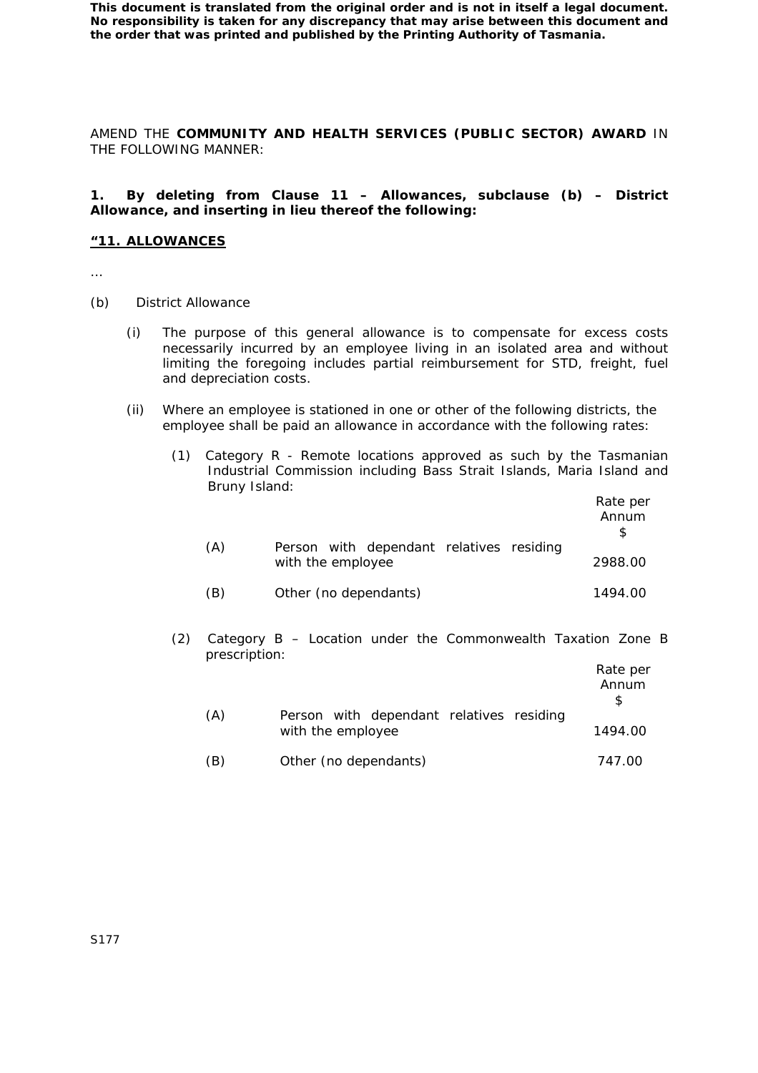AMEND THE **COMMUNITY AND HEALTH SERVICES (PUBLIC SECTOR) AWARD** IN THE FOLLOWING MANNER:

## **1. By deleting from Clause 11 – Allowances, subclause (b) – District Allowance, and inserting in lieu thereof the following:**

#### **"11. ALLOWANCES**

- …
- (b) District Allowance
	- (i) The purpose of this general allowance is to compensate for excess costs necessarily incurred by an employee living in an isolated area and without limiting the foregoing includes partial reimbursement for STD, freight, fuel and depreciation costs.
	- (ii) Where an employee is stationed in one or other of the following districts, the employee shall be paid an allowance in accordance with the following rates:
		- (1) Category R Remote locations approved as such by the Tasmanian Industrial Commission including Bass Strait Islands, Maria Island and Bruny Island:

|     |                                                               | Rate per<br>Annum |
|-----|---------------------------------------------------------------|-------------------|
| (A) | Person with dependant relatives residing<br>with the employee | 2988.00           |
| (B) | Other (no dependants)                                         | 1494.00           |

(2) Category B – Location under the Commonwealth Taxation Zone B prescription:

|     |                                                               | Rate per<br>Annum |
|-----|---------------------------------------------------------------|-------------------|
| (A) | Person with dependant relatives residing<br>with the employee | 1494.00           |
| (B) | Other (no dependants)                                         | 747.00            |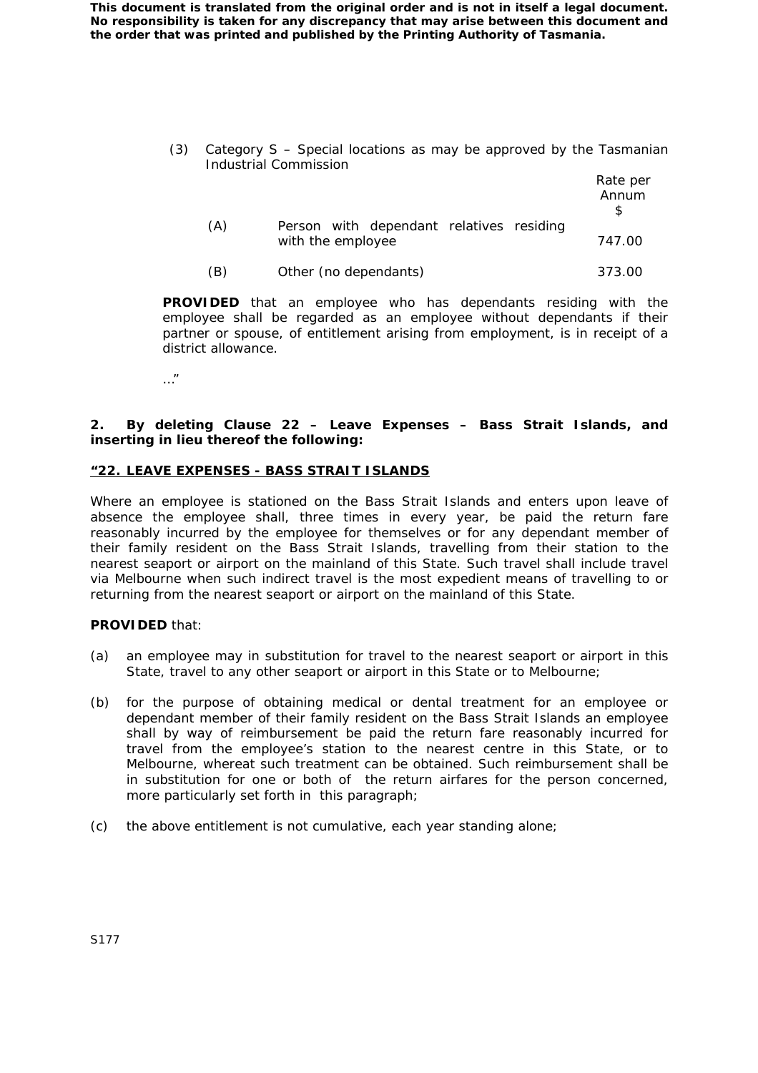> (3) Category S – Special locations as may be approved by the Tasmanian Industrial Commission

|     |                                          | Rate per<br>Annum |
|-----|------------------------------------------|-------------------|
| (A) | Person with dependant relatives residing |                   |
|     | with the employee                        | 747.00            |
| (B) | Other (no dependants)                    | 373.00            |

**PROVIDED** that an employee who has dependants residing with the

employee shall be regarded as an employee without dependants if their partner or spouse, of entitlement arising from employment, is in receipt of a district allowance.

…"

## **2. By deleting Clause 22 – Leave Expenses – Bass Strait Islands, and inserting in lieu thereof the following:**

# **"22. LEAVE EXPENSES - BASS STRAIT ISLANDS**

Where an employee is stationed on the Bass Strait Islands and enters upon leave of absence the employee shall, three times in every year, be paid the return fare reasonably incurred by the employee for themselves or for any dependant member of their family resident on the Bass Strait Islands, travelling from their station to the nearest seaport or airport on the mainland of this State. Such travel shall include travel via Melbourne when such indirect travel is the most expedient means of travelling to or returning from the nearest seaport or airport on the mainland of this State.

## **PROVIDED** that:

- (a) an employee may in substitution for travel to the nearest seaport or airport in this State, travel to any other seaport or airport in this State or to Melbourne;
- (b) for the purpose of obtaining medical or dental treatment for an employee or dependant member of their family resident on the Bass Strait Islands an employee shall by way of reimbursement be paid the return fare reasonably incurred for travel from the employee's station to the nearest centre in this State, or to Melbourne, whereat such treatment can be obtained. Such reimbursement shall be in substitution for one or both of the return airfares for the person concerned, more particularly set forth in this paragraph;
- (c) the above entitlement is not cumulative, each year standing alone;